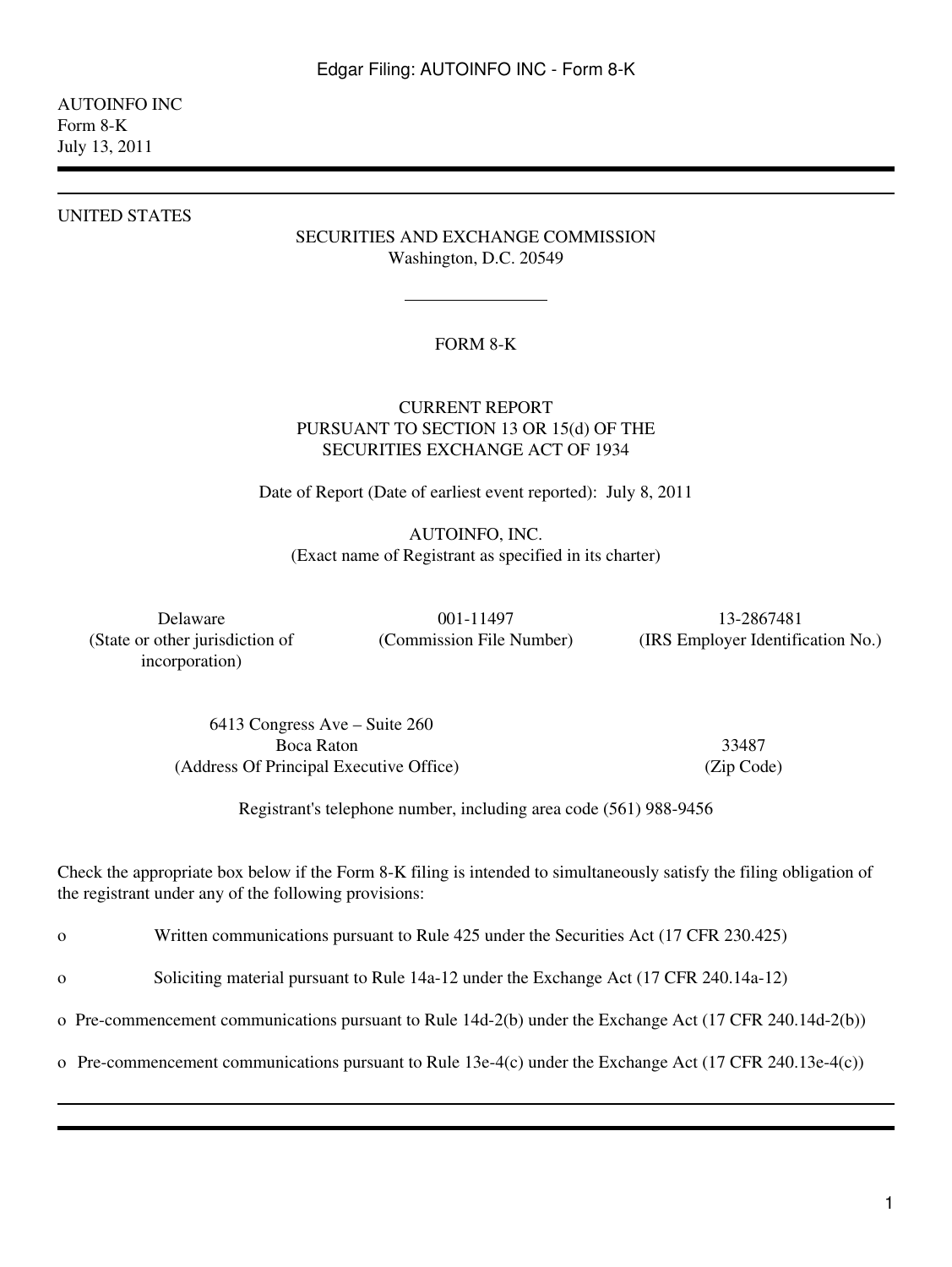# AUTOINFO INC Form 8-K July 13, 2011

#### UNITED STATES

# SECURITIES AND EXCHANGE COMMISSION Washington, D.C. 20549

## FORM 8-K

# CURRENT REPORT PURSUANT TO SECTION 13 OR 15(d) OF THE SECURITIES EXCHANGE ACT OF 1934

Date of Report (Date of earliest event reported): July 8, 2011

AUTOINFO, INC. (Exact name of Registrant as specified in its charter)

(State or other jurisdiction of incorporation)

Delaware 001-11497 001-11497 13-2867481 (Commission File Number) (IRS Employer Identification No.)

6413 Congress Ave – Suite 260 Boca Raton 33487 (Address Of Principal Executive Office) (Zip Code)

Registrant's telephone number, including area code (561) 988-9456

Check the appropriate box below if the Form 8-K filing is intended to simultaneously satisfy the filing obligation of the registrant under any of the following provisions:

o Written communications pursuant to Rule 425 under the Securities Act (17 CFR 230.425)

o Soliciting material pursuant to Rule 14a-12 under the Exchange Act (17 CFR 240.14a-12)

o Pre-commencement communications pursuant to Rule 14d-2(b) under the Exchange Act (17 CFR 240.14d-2(b))

o Pre-commencement communications pursuant to Rule 13e-4(c) under the Exchange Act (17 CFR 240.13e-4(c))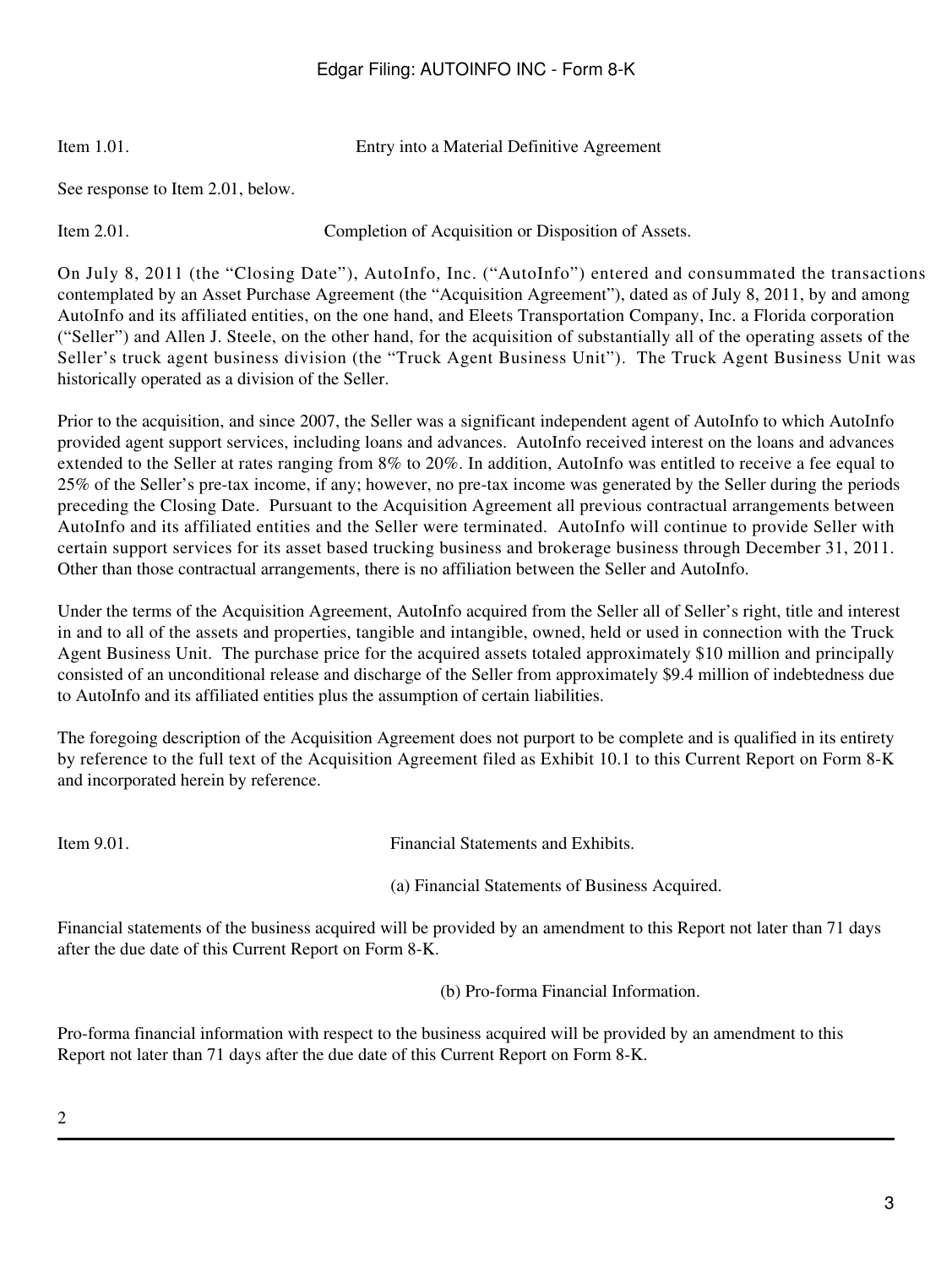# Edgar Filing: AUTOINFO INC - Form 8-K

Item 1.01. Entry into a Material Definitive Agreement

See response to Item 2.01, below.

Item 2.01. Completion of Acquisition or Disposition of Assets.

On July 8, 2011 (the "Closing Date"), AutoInfo, Inc. ("AutoInfo") entered and consummated the transactions contemplated by an Asset Purchase Agreement (the "Acquisition Agreement"), dated as of July 8, 2011, by and among AutoInfo and its affiliated entities, on the one hand, and Eleets Transportation Company, Inc. a Florida corporation ("Seller") and Allen J. Steele, on the other hand, for the acquisition of substantially all of the operating assets of the Seller's truck agent business division (the "Truck Agent Business Unit"). The Truck Agent Business Unit was historically operated as a division of the Seller.

Prior to the acquisition, and since 2007, the Seller was a significant independent agent of AutoInfo to which AutoInfo provided agent support services, including loans and advances. AutoInfo received interest on the loans and advances extended to the Seller at rates ranging from 8% to 20%. In addition, AutoInfo was entitled to receive a fee equal to 25% of the Seller's pre-tax income, if any; however, no pre-tax income was generated by the Seller during the periods preceding the Closing Date. Pursuant to the Acquisition Agreement all previous contractual arrangements between AutoInfo and its affiliated entities and the Seller were terminated. AutoInfo will continue to provide Seller with certain support services for its asset based trucking business and brokerage business through December 31, 2011. Other than those contractual arrangements, there is no affiliation between the Seller and AutoInfo.

Under the terms of the Acquisition Agreement, AutoInfo acquired from the Seller all of Seller's right, title and interest in and to all of the assets and properties, tangible and intangible, owned, held or used in connection with the Truck Agent Business Unit. The purchase price for the acquired assets totaled approximately \$10 million and principally consisted of an unconditional release and discharge of the Seller from approximately \$9.4 million of indebtedness due to AutoInfo and its affiliated entities plus the assumption of certain liabilities.

The foregoing description of the Acquisition Agreement does not purport to be complete and is qualified in its entirety by reference to the full text of the Acquisition Agreement filed as Exhibit 10.1 to this Current Report on Form 8-K and incorporated herein by reference.

Item 9.01. Financial Statements and Exhibits.

(a) Financial Statements of Business Acquired.

Financial statements of the business acquired will be provided by an amendment to this Report not later than 71 days after the due date of this Current Report on Form 8-K.

(b) Pro-forma Financial Information.

Pro-forma financial information with respect to the business acquired will be provided by an amendment to this Report not later than 71 days after the due date of this Current Report on Form 8-K.